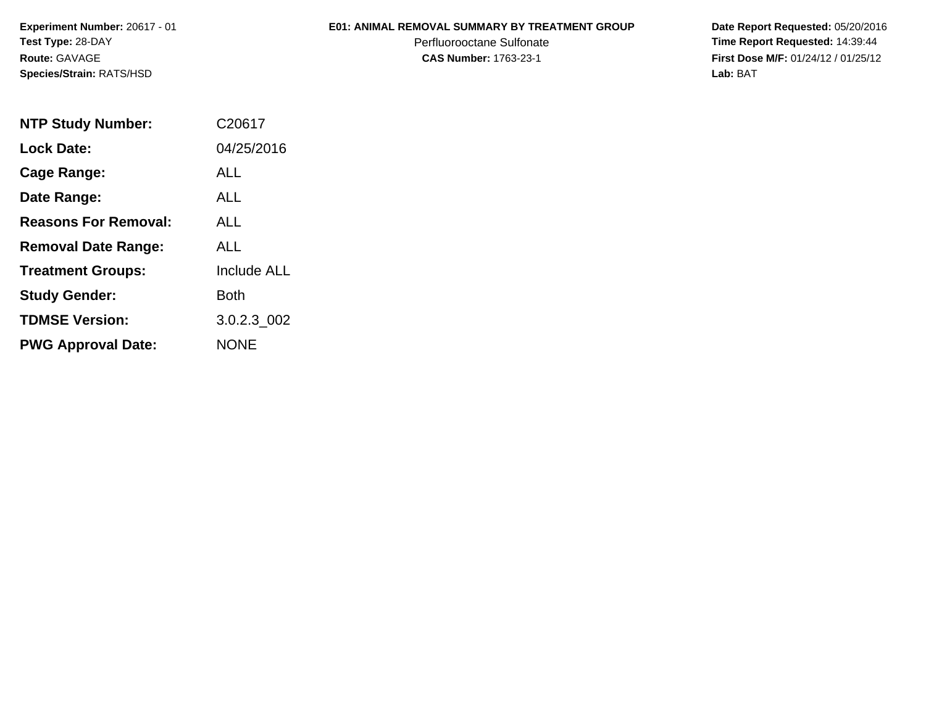**Experiment Number:** 20617 - 01**Test Type:** 28-DAY**Route:** GAVAGE**Species/Strain:** RATS/HSD

## **E01: ANIMAL REMOVAL SUMMARY BY TREATMENT GROUP**

Perfluorooctane Sulfonate<br>CAS Number: 1763-23-1

 **Date Report Requested:** 05/20/2016 **Time Report Requested:** 14:39:44 **First Dose M/F:** 01/24/12 / 01/25/12<br>Lab: BAT **Lab:** BAT

| <b>NTP Study Number:</b>    | C20617             |
|-----------------------------|--------------------|
| <b>Lock Date:</b>           | 04/25/2016         |
| Cage Range:                 | ALL                |
| Date Range:                 | <b>ALL</b>         |
| <b>Reasons For Removal:</b> | AI I               |
| <b>Removal Date Range:</b>  | ALL                |
| <b>Treatment Groups:</b>    | <b>Include ALL</b> |
| <b>Study Gender:</b>        | Both               |
| <b>TDMSE Version:</b>       | 3.0.2.3_002        |
| <b>PWG Approval Date:</b>   | <b>NONE</b>        |